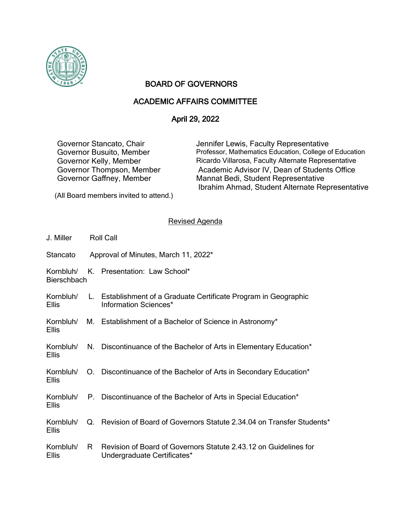

## BOARD OF GOVERNORS

## ACADEMIC AFFAIRS COMMITTEE

## April 29, 2022

Governor Stancato, Chair **Jennifer Lewis, Faculty Representative** Governor Busuito, Member Professor, Mathematics Education, College of Education Governor Kelly, Member Ricardo Villarosa, Faculty Alternate Representative Governor Thompson, Member Academic Advisor IV, Dean of Students Office Governor Gaffney, Member Mannat Bedi, Student Representative Ibrahim Ahmad, Student Alternate Representative

(All Board members invited to attend.)

## Revised Agenda

| J. Miller                       | <b>Roll Call</b> |                                                                                                 |
|---------------------------------|------------------|-------------------------------------------------------------------------------------------------|
| Stancato                        |                  | Approval of Minutes, March 11, 2022*                                                            |
| Kornbluh/<br><b>Bierschbach</b> |                  | K. Presentation: Law School*                                                                    |
| Kornbluh/<br><b>Ellis</b>       |                  | L. Establishment of a Graduate Certificate Program in Geographic<br>Information Sciences*       |
| <b>Ellis</b>                    |                  | Kornbluh/ M. Establishment of a Bachelor of Science in Astronomy*                               |
| <b>Ellis</b>                    |                  | Kornbluh/ N. Discontinuance of the Bachelor of Arts in Elementary Education*                    |
| <b>Ellis</b>                    |                  | Kornbluh/ O. Discontinuance of the Bachelor of Arts in Secondary Education*                     |
| <b>Ellis</b>                    |                  | Kornbluh/ P. Discontinuance of the Bachelor of Arts in Special Education*                       |
| Kornbluh/<br><b>Ellis</b>       |                  | Q. Revision of Board of Governors Statute 2.34.04 on Transfer Students*                         |
| Kornbluh/<br><b>Ellis</b>       | R.               | Revision of Board of Governors Statute 2.43.12 on Guidelines for<br>Undergraduate Certificates* |